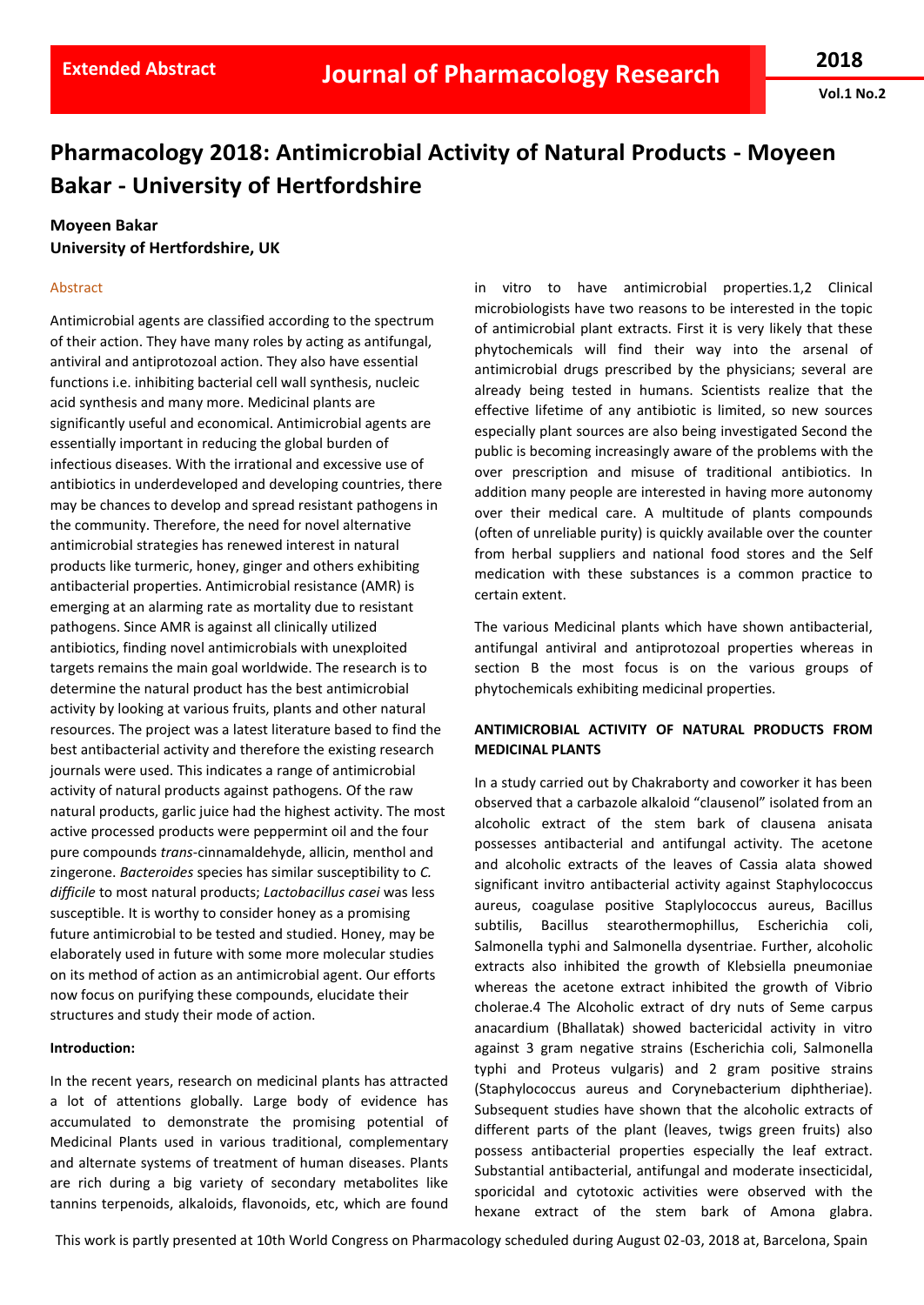**Vol.1 No.2**

# **Pharmacology 2018: Antimicrobial Activity of Natural Products - Moyeen Bakar - University of Hertfordshire**

# **Moyeen Bakar University of Hertfordshire, UK**

## Abstract

Antimicrobial agents are classified according to the spectrum of their action. They have many roles by acting as antifungal, antiviral and antiprotozoal action. They also have essential functions i.e. inhibiting bacterial cell wall synthesis, nucleic acid synthesis and many more. Medicinal plants are significantly useful and economical. Antimicrobial agents are essentially important in reducing the global burden of infectious diseases. With the irrational and excessive use of antibiotics in underdeveloped and developing countries, there may be chances to develop and spread resistant pathogens in the community. Therefore, the need for novel alternative antimicrobial strategies has renewed interest in natural products like turmeric, honey, ginger and others exhibiting antibacterial properties. Antimicrobial resistance (AMR) is emerging at an alarming rate as mortality due to resistant pathogens. Since AMR is against all clinically utilized antibiotics, finding novel antimicrobials with unexploited targets remains the main goal worldwide. The research is to determine the natural product has the best antimicrobial activity by looking at various fruits, plants and other natural resources. The project was a latest literature based to find the best antibacterial activity and therefore the existing research journals were used. This indicates a range of antimicrobial activity of natural products against pathogens. Of the raw natural products, garlic juice had the highest activity. The most active processed products were peppermint oil and the four pure compounds *trans*‐cinnamaldehyde, allicin, menthol and zingerone. *Bacteroides* species has similar susceptibility to *C. difficile* to most natural products; *Lactobacillus casei* was less susceptible. It is worthy to consider honey as a promising future antimicrobial to be tested and studied. Honey, may be elaborately used in future with some more molecular studies on its method of action as an antimicrobial agent. Our efforts now focus on purifying these compounds, elucidate their structures and study their mode of action.

#### **Introduction:**

In the recent years, research on medicinal plants has attracted a lot of attentions globally. Large body of evidence has accumulated to demonstrate the promising potential of Medicinal Plants used in various traditional, complementary and alternate systems of treatment of human diseases. Plants are rich during a big variety of secondary metabolites like tannins terpenoids, alkaloids, flavonoids, etc, which are found in vitro to have antimicrobial properties.1,2 Clinical microbiologists have two reasons to be interested in the topic of antimicrobial plant extracts. First it is very likely that these phytochemicals will find their way into the arsenal of antimicrobial drugs prescribed by the physicians; several are already being tested in humans. Scientists realize that the effective lifetime of any antibiotic is limited, so new sources especially plant sources are also being investigated Second the public is becoming increasingly aware of the problems with the over prescription and misuse of traditional antibiotics. In addition many people are interested in having more autonomy over their medical care. A multitude of plants compounds (often of unreliable purity) is quickly available over the counter from herbal suppliers and national food stores and the Self medication with these substances is a common practice to certain extent.

The various Medicinal plants which have shown antibacterial, antifungal antiviral and antiprotozoal properties whereas in section B the most focus is on the various groups of phytochemicals exhibiting medicinal properties.

# **ANTIMICROBIAL ACTIVITY OF NATURAL PRODUCTS FROM MEDICINAL PLANTS**

In a study carried out by Chakraborty and coworker it has been observed that a carbazole alkaloid "clausenol" isolated from an alcoholic extract of the stem bark of clausena anisata possesses antibacterial and antifungal activity. The acetone and alcoholic extracts of the leaves of Cassia alata showed significant invitro antibacterial activity against Staphylococcus aureus, coagulase positive Staplylococcus aureus, Bacillus subtilis, Bacillus stearothermophillus, Escherichia coli, Salmonella typhi and Salmonella dysentriae. Further, alcoholic extracts also inhibited the growth of Klebsiella pneumoniae whereas the acetone extract inhibited the growth of Vibrio cholerae.4 The Alcoholic extract of dry nuts of Seme carpus anacardium (Bhallatak) showed bactericidal activity in vitro against 3 gram negative strains (Escherichia coli, Salmonella typhi and Proteus vulgaris) and 2 gram positive strains (Staphylococcus aureus and Corynebacterium diphtheriae). Subsequent studies have shown that the alcoholic extracts of different parts of the plant (leaves, twigs green fruits) also possess antibacterial properties especially the leaf extract. Substantial antibacterial, antifungal and moderate insecticidal, sporicidal and cytotoxic activities were observed with the hexane extract of the stem bark of Amona glabra.

This work is partly presented at 10th World Congress on Pharmacology scheduled during August 02-03, 2018 at, Barcelona, Spain